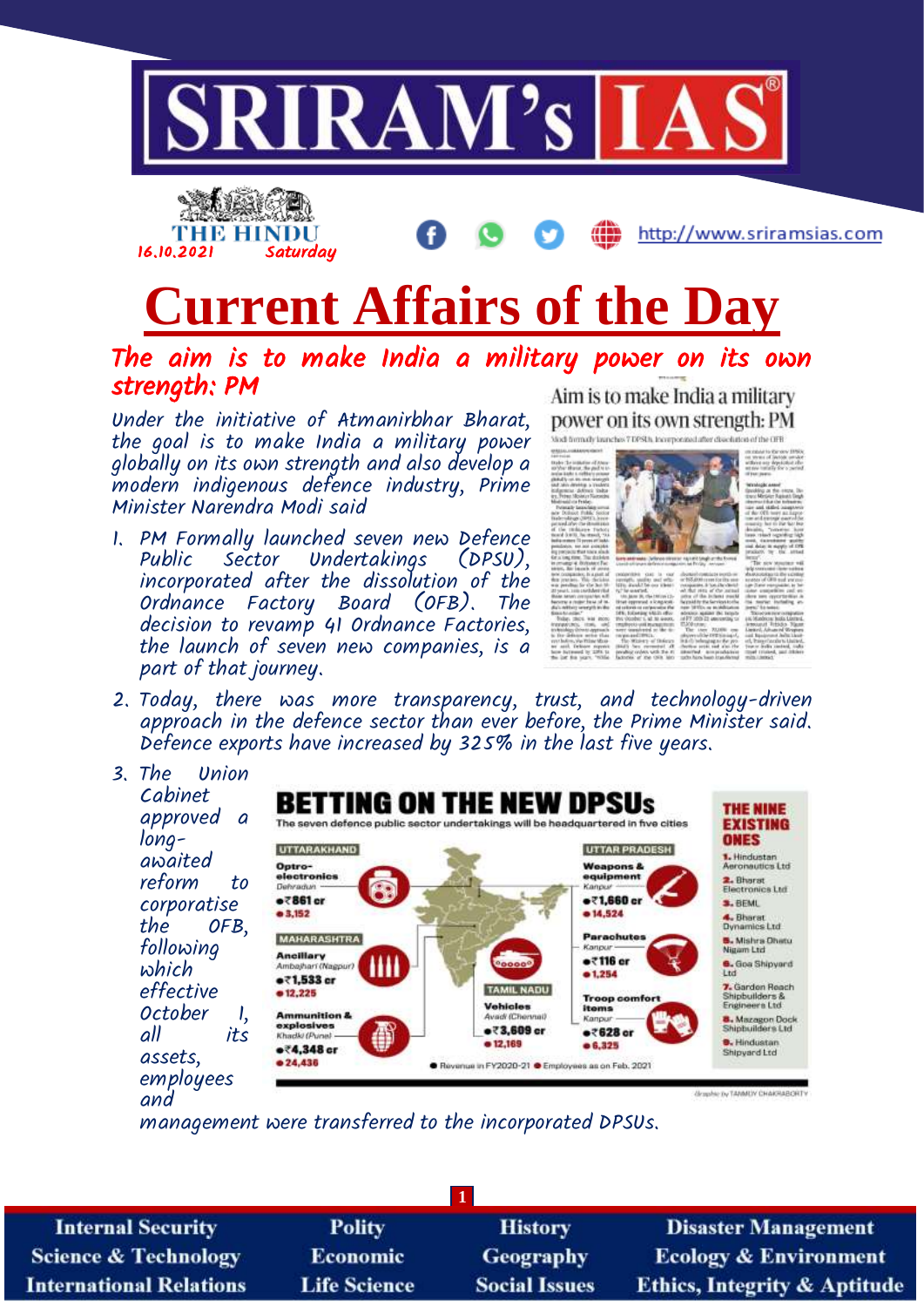



http://www.sriramsias.com

# **Current Affairs of the Day**

### The aim is to make India a military power on its own strength: PM

Under the initiative of Atmanirbhar Bharat, the goal is to make India a military power globally on its own strength and also develop a modern indigenous defence industry, Prime Minister Narendra Modi said

1. PM Formally launched seven new Defence Public Sector Undertakings (DPSU), incorporated after the dissolution of the Ordnance Factory Board (OFB). The decision to revamp 41 Ordnance Factories, the launch of seven new companies, is a part of that journey.

Aim is to make India a military power on its own strength: PM Sod from the introduce 7 DPSUs, incorporated after the



r inaganyak<br>Alain raku:<br>Alain raku:<br>Longstream<br>Longstream - 1990)<br>- 600000 M<br>- 1972-203<br>- 1980-1990<br>- 1980-1990 

2. Today, there was more transparency, trust, and technology-driven approach in the defence sector than ever before, the Prime Minister said. Defence exports have increased by 325% in the last five years.



management were transferred to the incorporated DPSUs.

| <b>Internal Security</b>        | <b>Polity</b>       | <b>History</b>       | <b>Disaster Management</b>              |
|---------------------------------|---------------------|----------------------|-----------------------------------------|
| <b>Science &amp; Technology</b> | <b>Economic</b>     | Geography            | <b>Ecology &amp; Environment</b>        |
| <b>International Relations</b>  | <b>Life Science</b> | <b>Social Issues</b> | <b>Ethics, Integrity &amp; Aptitude</b> |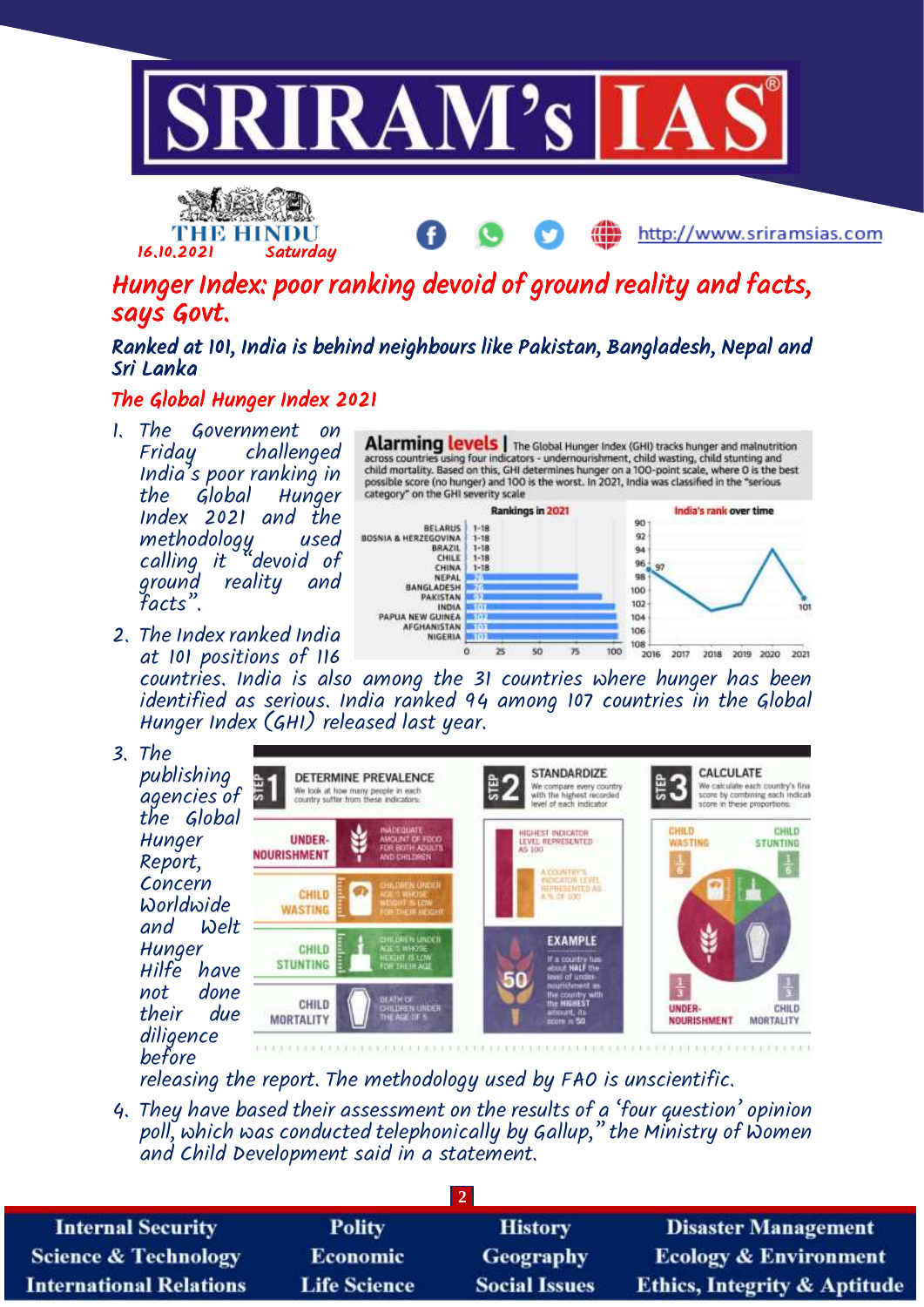



http://www.sriramsias.com

## Hunger Index: poor ranking devoid of ground reality and facts, says Govt.

#### Ranked at 101, India is behind neighbours like Pakistan, Bangladesh, Nepal and Sri Lanka

#### The Global Hunger Index 2021

1. The Government on Friday challenged India's poor ranking in Hunger Index 2021 and the methodology used calling it "devoid of ground reality and facts".

**Alarming levels** | The Global Hunger Index (GHI) tracks hunger and malnutrition across countries using four indicators - undernourishment, child wasting, child stunting and child mortality. Based on this, GHI determines hunger on a 100-point scale, where 0 is the best possible score (no hunger) and 100 is the worst. In 2021, India was classified in the "serious category" on the GHI severity scale Rankings in 2021 India's rank over time 90 **BELARUS**  $1 - 18$ 92 **BOSNIA & HERZEGOVINA**  $1 - 18$ BRAZIL  $1 - 18$ <br> $1 - 18$  $94$ 96 CHINA  $1 - 18$ NEPAL<br>BANGLADESH<br>PAKISTAN qit 100  $102$ **INDIA PAPUA NEW GUINEA** 104 AFGHANISTAN 106 108 2017 2018 2019 2020 2021 ko.  $75$ 100  $\Omega$ 

2. The Index ranked India at 101 positions of 116

> countries. India is also among the 31 countries where hunger has been identified as serious. India ranked 94 among 107 countries in the Global Hunger Index (GHI) released last year.



before releasing the report. The methodology used by FAO is unscientific.

4. They have based their assessment on the results of a 'four question' opinion poll, which was conducted telephonically by Gallup," the Ministry of Women and Child Development said in a statement.

| <b>Internal Security</b>        | <b>Polity</b>       | <b>History</b>       | <b>Disaster Management</b>              |
|---------------------------------|---------------------|----------------------|-----------------------------------------|
| <b>Science &amp; Technology</b> | <b>Economic</b>     | <b>Geography</b>     | <b>Ecology &amp; Environment</b>        |
| <b>International Relations</b>  | <b>Life Science</b> | <b>Social Issues</b> | <b>Ethics, Integrity &amp; Aptitude</b> |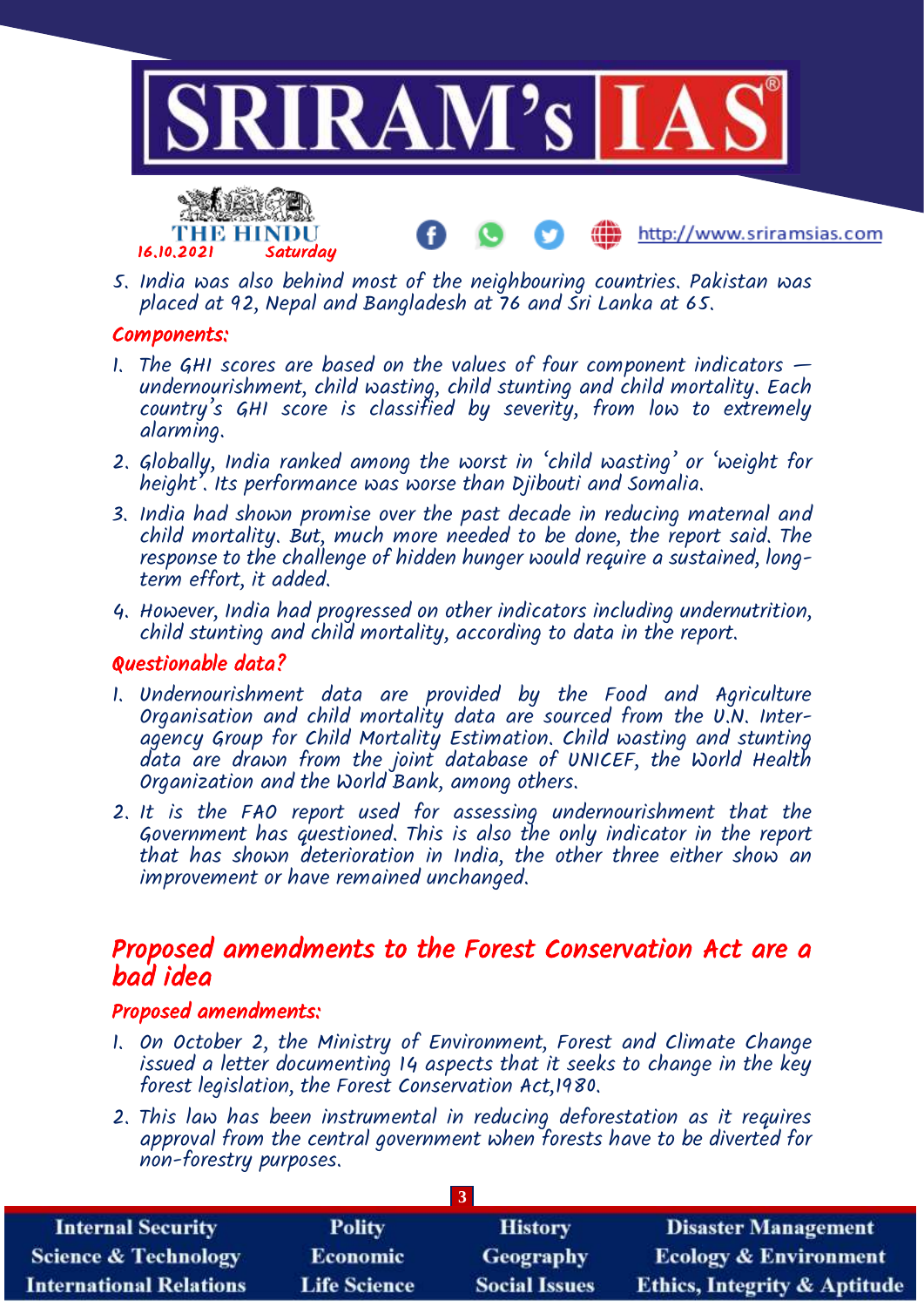

http://www.sriramsias.com



5. India was also behind most of the neighbouring countries. Pakistan was placed at 92, Nepal and Bangladesh at 76 and Sri Lanka at 65.

#### Components:

- 1. The GHI scores are based on the values of four component indicators  $$ undernourishment, child wasting, child stunting and child mortality. Each country's GHI score is classified by severity, from low to extremely alarming.
- 2. Globally, India ranked among the worst in 'child wasting' or 'weight for height'. Its performance was worse than Djibouti and Somalia.
- 3. India had shown promise over the past decade in reducing maternal and child mortality. But, much more needed to be done, the report said. The response to the challenge of hidden hunger would require a sustained, longterm effort, it added.
- 4. However, India had progressed on other indicators including undernutrition, child stunting and child mortality, according to data in the report.

#### Questionable data?

- 1. Undernourishment data are provided by the Food and Agriculture Organisation and child mortality data are sourced from the U.N. Interagency Group for Child Mortality Estimation. Child wasting and stunting data are drawn from the joint database of UNICEF, the World Health Organization and the World Bank, among others.
- 2. It is the FAO report used for assessing undernourishment that the Government has questioned. This is also the only indicator in the report that has shown deterioration in India, the other three either show an improvement or have remained unchanged.

#### Proposed amendments to the Forest Conservation Act are a bad idea

#### Proposed amendments:

- 1. On October 2, the Ministry of Environment, Forest and Climate Change issued a letter documenting 14 aspects that it seeks to change in the key forest legislation, the Forest Conservation Act,1980.
- 2. This law has been instrumental in reducing deforestation as it requires approval from the central government when forests have to be diverted for non-forestry purposes.

| <b>Internal Security</b>        | <b>Polity</b>       | <b>History</b>       | <b>Disaster Management</b>              |
|---------------------------------|---------------------|----------------------|-----------------------------------------|
| <b>Science &amp; Technology</b> | Economic            | Geography            | <b>Ecology &amp; Environment</b>        |
| <b>International Relations</b>  | <b>Life Science</b> | <b>Social Issues</b> | <b>Ethics, Integrity &amp; Aptitude</b> |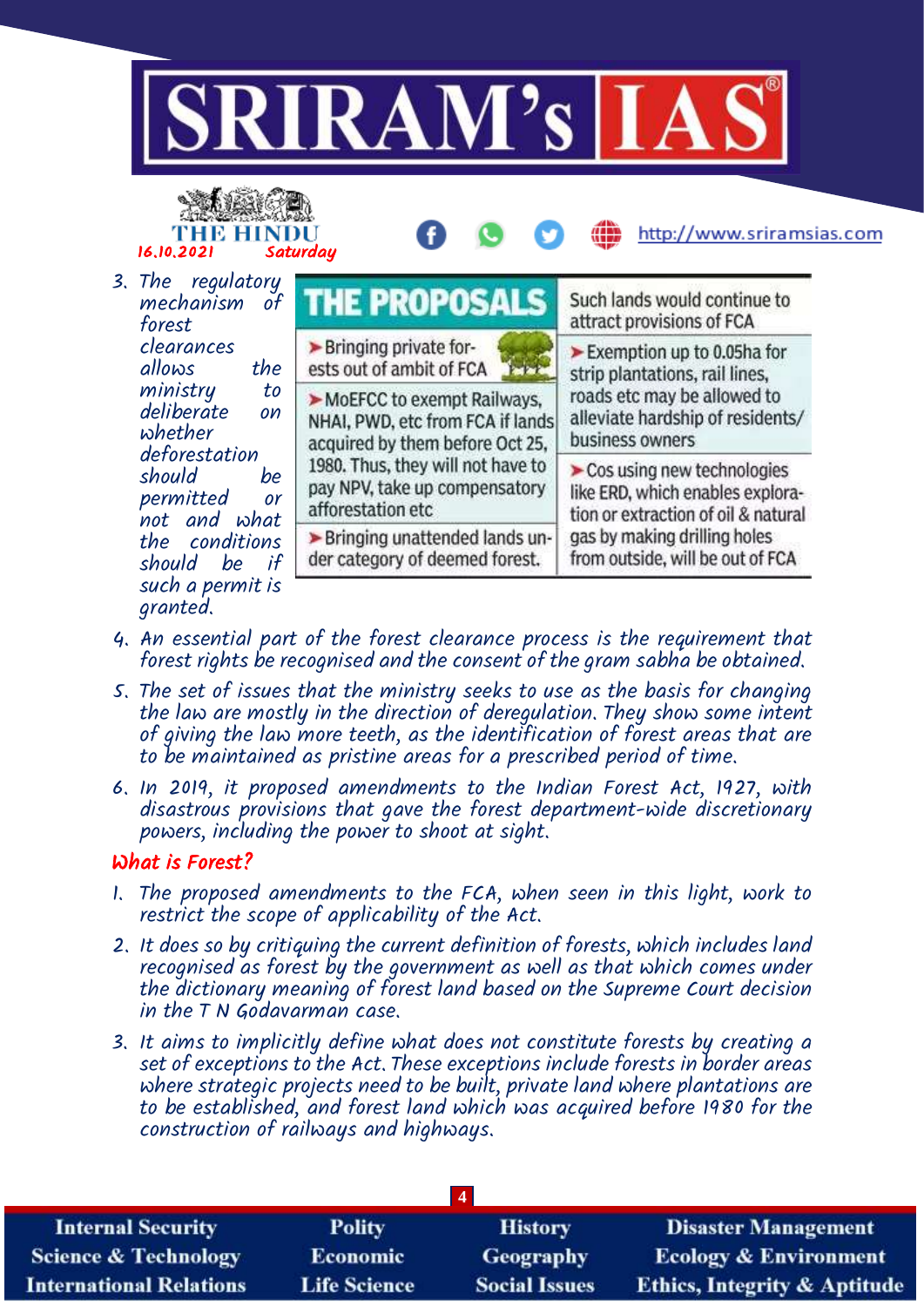

# THE HINDU 16.10.2021 Saturday

http://www.sriramsias.com

3. The regulatory mechanism of forest clearances allows the ministry to deliberate on whether deforestation should permitted or not and what the conditions should be if such a permit is granted.



- 4. An essential part of the forest clearance process is the requirement that forest rights be recognised and the consent of the gram sabha be obtained.
- 5. The set of issues that the ministry seeks to use as the basis for changing the law are mostly in the direction of deregulation. They show some intent of giving the law more teeth, as the identification of forest areas that are to be maintained as pristine areas for a prescribed period of time.
- 6. In 2019, it proposed amendments to the Indian Forest Act, 1927, with disastrous provisions that gave the forest department-wide discretionary powers, including the power to shoot at sight.

#### What is Forest?

- 1. The proposed amendments to the FCA, when seen in this light, work to restrict the scope of applicability of the Act.
- 2. It does so by critiquing the current definition of forests, which includes land recognised as forest by the government as well as that which comes under the dictionary meaning of forest land based on the Supreme Court decision in the T N Godavarman case.
- 3. It aims to implicitly define what does not constitute forests by creating a set of exceptions to the Act. These exceptions include forests in border areas where strategic projects need to be built, private land where plantations are to be established, and forest land which was acquired before 1980 for the construction of railways and highways.

| <b>Internal Security</b>        | <b>Polity</b>       | <b>History</b>       | <b>Disaster Management</b>              |
|---------------------------------|---------------------|----------------------|-----------------------------------------|
| <b>Science &amp; Technology</b> | <b>Economic</b>     | Geography            | <b>Ecology &amp; Environment</b>        |
| <b>International Relations</b>  | <b>Life Science</b> | <b>Social Issues</b> | <b>Ethics, Integrity &amp; Aptitude</b> |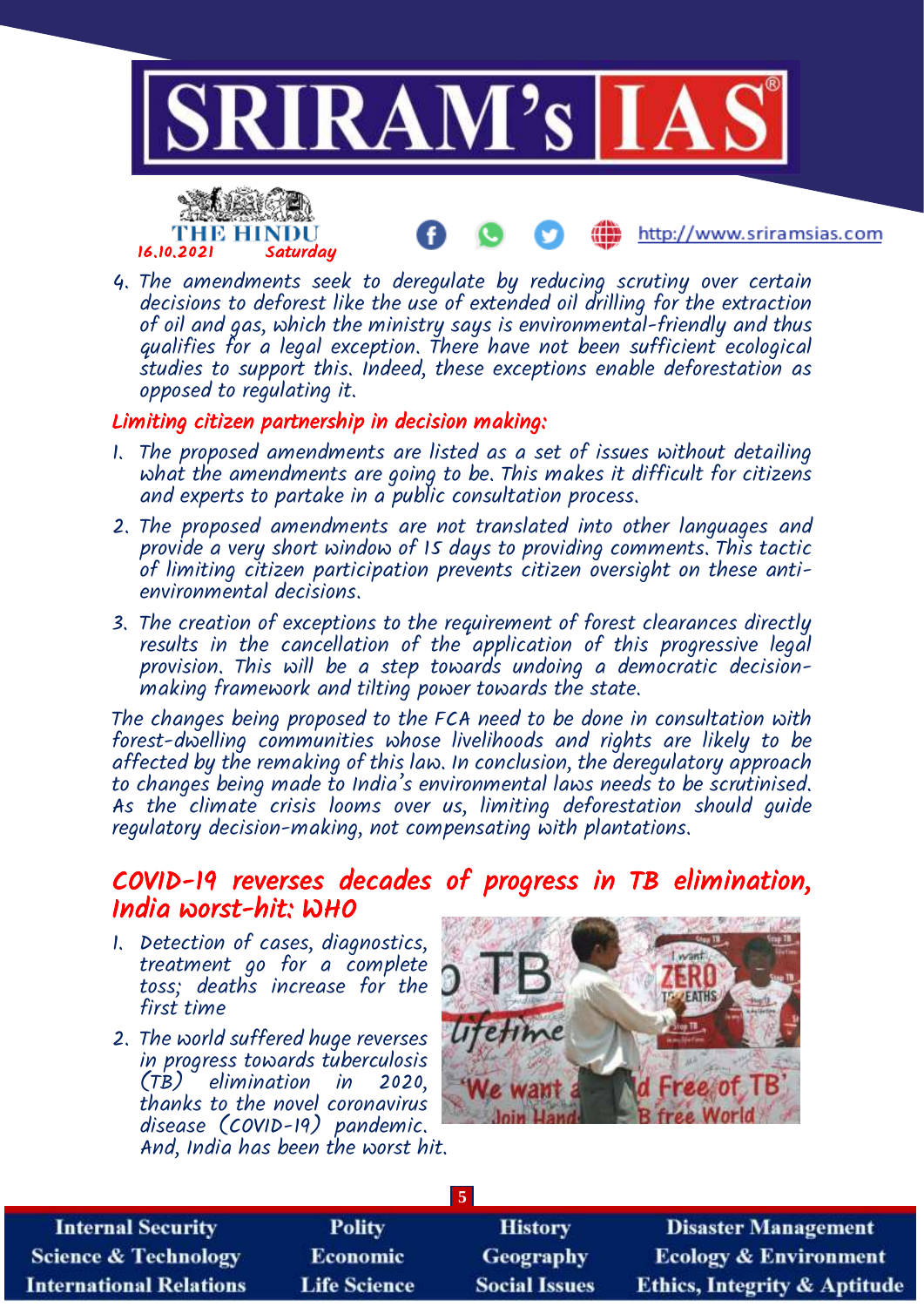

4. The amendments seek to deregulate by reducing scrutiny over certain decisions to deforest like the use of extended oil drilling for the extraction of oil and gas, which the ministry says is environmental-friendly and thus qualifies for a legal exception. There have not been sufficient ecological studies to support this. Indeed, these exceptions enable deforestation as opposed to regulating it.

#### Limiting citizen partnership in decision making:

16.10.2021 Saturday

- 1. The proposed amendments are listed as a set of issues without detailing what the amendments are going to be. This makes it difficult for citizens and experts to partake in a public consultation process.
- 2. The proposed amendments are not translated into other languages and provide a very short window of 15 days to providing comments. This tactic of limiting citizen participation prevents citizen oversight on these antienvironmental decisions.
- 3. The creation of exceptions to the requirement of forest clearances directly results in the cancellation of the application of this progressive legal provision. This will be a step towards undoing a democratic decisionmaking framework and tilting power towards the state.

The changes being proposed to the FCA need to be done in consultation with forest-dwelling communities whose livelihoods and rights are likely to be affected by the remaking of this law. In conclusion, the deregulatory approach to changes being made to India's environmental laws needs to be scrutinised. As the climate crisis looms over us, limiting deforestation should guide regulatory decision-making, not compensating with plantations.

#### COVID-19 reverses decades of progress in TB elimination, India worst-hit: WHO

- 1. Detection of cases, diagnostics, treatment go for a complete toss; deaths increase for the first time
- 2. The world suffered huge reverses in progress towards tuberculosis (TB) elimination in 2020, thanks to the novel coronavirus disease (COVID-19) pandemic. And, India has been the worst hit.



| 5 <sup>°</sup>                 |                     |                      |                                         |
|--------------------------------|---------------------|----------------------|-----------------------------------------|
| <b>Internal Security</b>       | <b>Polity</b>       | <b>History</b>       | <b>Disaster Management</b>              |
| Science & Technology           | <b>Economic</b>     | Geography            | <b>Ecology &amp; Environment</b>        |
| <b>International Relations</b> | <b>Life Science</b> | <b>Social Issues</b> | <b>Ethics, Integrity &amp; Aptitude</b> |